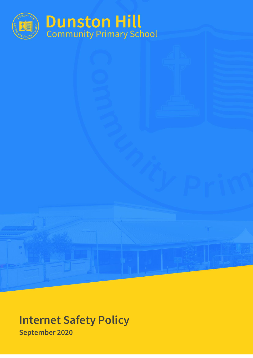

# **Internet Safety Policy September 2020**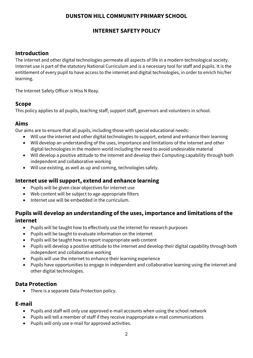## **DUNSTON HILL COMMUNITY PRIMARY SCHOOL**

## **INTERNET SAFETY POLICY**

#### **Introduction**

The internet and other digital technologies permeate all aspects of life in a modern technological society. Internet use is part of the statutory National Curriculum and is a necessary tool for staff and pupils. It is the entitlement of every pupil to have access to the internet and digital technologies, in order to enrich his/her learning.

The Internet Safety Officer is Miss N Reay.

#### **Scope**

This policy applies to all pupils, teaching staff, support staff, governors and volunteers in school.

#### **Aims**

Our aims are to ensure that all pupils, including those with special educational needs:

- Will use the internet and other digital technologies to support, extend and enhance their learning
- Will develop an understanding of the uses, importance and limitations of the internet and other digital technologies in the modern world including the need to avoid undesirable material
- Will develop a positive attitude to the internet and develop their Computing capability through both independent and collaborative working
- Will use existing, as well as up and coming, technologies safely.

### **Internet use will support, extend and enhance learning**

- Pupils will be given clear objectives for internet use
- Web content will be subject to age-appropriate filters
- Internet use will be embedded in the curriculum.

## **Pupils will develop an understanding of the uses, importance and limitations of the internet**

- Pupils will be taught how to effectively use the internet for research purposes
- Pupils will be taught to evaluate information on the internet
- Pupils will be taught how to report inappropriate web content
- Pupils will develop a positive attitude to the internet and develop their digital capability through both independent and collaborative working
- Pupils will use the internet to enhance their learning experience
- Pupils have opportunities to engage in independent and collaborative learning using the internet and other digital technologies.

#### **Data Protection**

• There is a separate Data Protection policy.

#### **E-mail**

- Pupils and staff will only use approved e-mail accounts when using the school network
- Pupils will tell a member of staff if they receive inappropriate e-mail communications
- Pupils will only use e-mail for approved activities.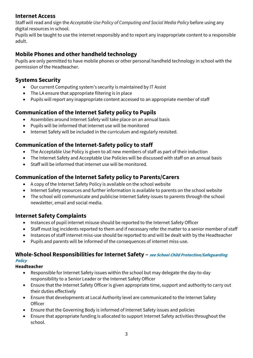## **Internet Access**

Staff will read and sign the *Acceptable Use Policy of Computing and Social Media Policy* before using any digital resources in school.

Pupils will be taught to use the internet responsibly and to report any inappropriate content to a responsible adult.

## **Mobile Phones and other handheld technology**

Pupils are only permitted to have mobile phones or other personal handheld technology in school with the permission of the Headteacher.

## **Systems Security**

- Our current Computing system's security is maintained by IT Assist
- The LA ensure that appropriate filtering is in place
- Pupils will report any inappropriate content accessed to an appropriate member of staff

## **Communication of the Internet Safety policy to Pupils**

- Assemblies around Internet Safety will take place on an annual basis
- Pupils will be informed that internet use will be monitored
- Internet Safety will be included in the curriculum and regularly revisited.

## **Communication of the Internet-Safety policy to staff**

- The Acceptable Use Policy is given to all new members of staff as part of their induction
- The Internet Safety and Acceptable Use Policies will be discussed with staff on an annual basis
- Staff will be informed that internet use will be monitored.

## **Communication of the Internet Safety policy to Parents/Carers**

- A copy of the Internet Safety Policy is available on the school website
- Internet Safety resources and further information is available to parents on the school website
- The school will communicate and publicise Internet Safety issues to parents through the school newsletter, email and social media.

## **Internet Safety Complaints**

- Instances of pupil internet misuse should be reported to the Internet Safety Officer
- Staff must log incidents reported to them and if necessary refer the matter to a senior member of staff
- Instances of staff internet miss-use should be reported to and will be dealt with by the Headteacher
- Pupils and parents will be informed of the consequences of internet miss-use.

## **Whole-School Responsibilities for Internet Safety – see School Child Protection/Safeguarding**

## **Policy**

- **Headteacher** 
	- Responsible for Internet Safety issues within the school but may delegate the day-to-day responsibility to a Senior Leader or the Internet Safety Officer
	- Ensure that the Internet Safety Officer is given appropriate time, support and authority to carry out their duties effectively
	- Ensure that developments at Local Authority level are communicated to the Internet Safety **Officer**
	- Ensure that the Governing Body is informed of Internet Safety issues and policies
	- Ensure that appropriate funding is allocated to support Internet Safety activities throughout the school.